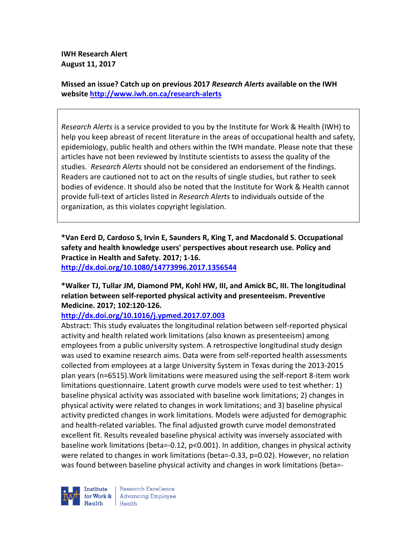**IWH Research Alert August 11, 2017** 

**Missed an issue? Catch up on previous 2017** *Research Alerts* **available on the IWH website http://www.iwh.on.ca/research-alerts**

*Research Alerts* is a service provided to you by the Institute for Work & Health (IWH) to help you keep abreast of recent literature in the areas of occupational health and safety, epidemiology, public health and others within the IWH mandate. Please note that these articles have not been reviewed by Institute scientists to assess the quality of the studies. *Research Alerts* should not be considered an endorsement of the findings. Readers are cautioned not to act on the results of single studies, but rather to seek bodies of evidence. It should also be noted that the Institute for Work & Health cannot provide full-text of articles listed in *Research Alerts* to individuals outside of the organization, as this violates copyright legislation.

**\*Van Eerd D, Cardoso S, Irvin E, Saunders R, King T, and Macdonald S. Occupational safety and health knowledge users' perspectives about research use. Policy and Practice in Health and Safety. 2017; 1-16. http://dx.doi.org/10.1080/14773996.2017.1356544** 

# **\*Walker TJ, Tullar JM, Diamond PM, Kohl HW, III, and Amick BC, III. The longitudinal relation between self-reported physical activity and presenteeism. Preventive Medicine. 2017; 102:120-126.**

**http://dx.doi.org/10.1016/j.ypmed.2017.07.003** 

Abstract: This study evaluates the longitudinal relation between self-reported physical activity and health related work limitations (also known as presenteeism) among employees from a public university system. A retrospective longitudinal study design was used to examine research aims. Data were from self-reported health assessments collected from employees at a large University System in Texas during the 2013-2015 plan years (n=6515).Work limitations were measured using the self-report 8-item work limitations questionnaire. Latent growth curve models were used to test whether: 1) baseline physical activity was associated with baseline work limitations; 2) changes in physical activity were related to changes in work limitations; and 3) baseline physical activity predicted changes in work limitations. Models were adjusted for demographic and health-related variables. The final adjusted growth curve model demonstrated excellent fit. Results revealed baseline physical activity was inversely associated with baseline work limitations (beta=-0.12, p<0.001). In addition, changes in physical activity were related to changes in work limitations (beta=-0.33, p=0.02). However, no relation was found between baseline physical activity and changes in work limitations (beta=-

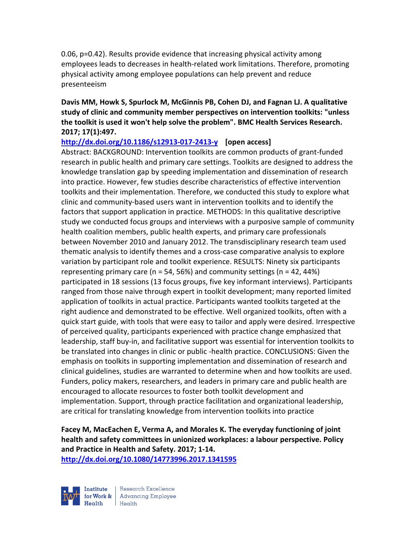0.06, p=0.42). Results provide evidence that increasing physical activity among employees leads to decreases in health-related work limitations. Therefore, promoting physical activity among employee populations can help prevent and reduce presenteeism

**Davis MM, Howk S, Spurlock M, McGinnis PB, Cohen DJ, and Fagnan LJ. A qualitative study of clinic and community member perspectives on intervention toolkits: "unless the toolkit is used it won't help solve the problem". BMC Health Services Research. 2017; 17(1):497.** 

**http://dx.doi.org/10.1186/s12913-017-2413-y [open access]**

Abstract: BACKGROUND: Intervention toolkits are common products of grant-funded research in public health and primary care settings. Toolkits are designed to address the knowledge translation gap by speeding implementation and dissemination of research into practice. However, few studies describe characteristics of effective intervention toolkits and their implementation. Therefore, we conducted this study to explore what clinic and community-based users want in intervention toolkits and to identify the factors that support application in practice. METHODS: In this qualitative descriptive study we conducted focus groups and interviews with a purposive sample of community health coalition members, public health experts, and primary care professionals between November 2010 and January 2012. The transdisciplinary research team used thematic analysis to identify themes and a cross-case comparative analysis to explore variation by participant role and toolkit experience. RESULTS: Ninety six participants representing primary care ( $n = 54, 56\%$ ) and community settings ( $n = 42, 44\%$ ) participated in 18 sessions (13 focus groups, five key informant interviews). Participants ranged from those naive through expert in toolkit development; many reported limited application of toolkits in actual practice. Participants wanted toolkits targeted at the right audience and demonstrated to be effective. Well organized toolkits, often with a quick start guide, with tools that were easy to tailor and apply were desired. Irrespective of perceived quality, participants experienced with practice change emphasized that leadership, staff buy-in, and facilitative support was essential for intervention toolkits to be translated into changes in clinic or public -health practice. CONCLUSIONS: Given the emphasis on toolkits in supporting implementation and dissemination of research and clinical guidelines, studies are warranted to determine when and how toolkits are used. Funders, policy makers, researchers, and leaders in primary care and public health are encouraged to allocate resources to foster both toolkit development and implementation. Support, through practice facilitation and organizational leadership, are critical for translating knowledge from intervention toolkits into practice

**Facey M, MacEachen E, Verma A, and Morales K. The everyday functioning of joint health and safety committees in unionized workplaces: a labour perspective. Policy and Practice in Health and Safety. 2017; 1-14. http://dx.doi.org/10.1080/14773996.2017.1341595** 



Research Excellence for Work & Advancing Employee Health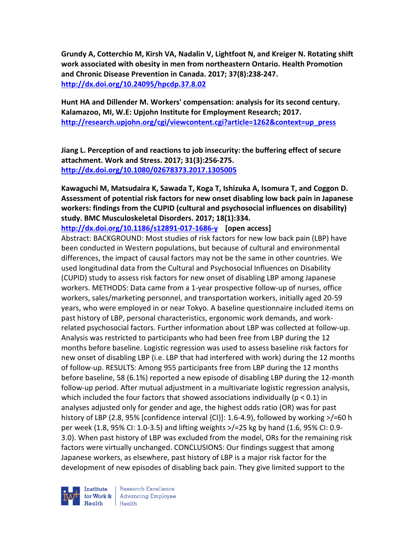**Grundy A, Cotterchio M, Kirsh VA, Nadalin V, Lightfoot N, and Kreiger N. Rotating shift work associated with obesity in men from northeastern Ontario. Health Promotion and Chronic Disease Prevention in Canada. 2017; 37(8):238-247. http://dx.doi.org/10.24095/hpcdp.37.8.02** 

**Hunt HA and Dillender M. Workers' compensation: analysis for its second century. Kalamazoo, MI, W.E: Upjohn Institute for Employment Research; 2017. http://research.upjohn.org/cgi/viewcontent.cgi?article=1262&context=up\_press** 

**Jiang L. Perception of and reactions to job insecurity: the buffering effect of secure attachment. Work and Stress. 2017; 31(3):256-275. http://dx.doi.org/10.1080/02678373.2017.1305005** 

**Kawaguchi M, Matsudaira K, Sawada T, Koga T, Ishizuka A, Isomura T, and Coggon D. Assessment of potential risk factors for new onset disabling low back pain in Japanese workers: findings from the CUPID (cultural and psychosocial influences on disability) study. BMC Musculoskeletal Disorders. 2017; 18(1):334.** 

**http://dx.doi.org/10.1186/s12891-017-1686-y [open access]**

Abstract: BACKGROUND: Most studies of risk factors for new low back pain (LBP) have been conducted in Western populations, but because of cultural and environmental differences, the impact of causal factors may not be the same in other countries. We used longitudinal data from the Cultural and Psychosocial Influences on Disability (CUPID) study to assess risk factors for new onset of disabling LBP among Japanese workers. METHODS: Data came from a 1-year prospective follow-up of nurses, office workers, sales/marketing personnel, and transportation workers, initially aged 20-59 years, who were employed in or near Tokyo. A baseline questionnaire included items on past history of LBP, personal characteristics, ergonomic work demands, and workrelated psychosocial factors. Further information about LBP was collected at follow-up. Analysis was restricted to participants who had been free from LBP during the 12 months before baseline. Logistic regression was used to assess baseline risk factors for new onset of disabling LBP (i.e. LBP that had interfered with work) during the 12 months of follow-up. RESULTS: Among 955 participants free from LBP during the 12 months before baseline, 58 (6.1%) reported a new episode of disabling LBP during the 12-month follow-up period. After mutual adjustment in a multivariate logistic regression analysis, which included the four factors that showed associations individually ( $p < 0.1$ ) in analyses adjusted only for gender and age, the highest odds ratio (OR) was for past history of LBP (2.8, 95% [confidence interval {CI}]: 1.6-4.9), followed by working >/=60 h per week (1.8, 95% CI: 1.0-3.5) and lifting weights >/=25 kg by hand (1.6, 95% CI: 0.9- 3.0). When past history of LBP was excluded from the model, ORs for the remaining risk factors were virtually unchanged. CONCLUSIONS: Our findings suggest that among Japanese workers, as elsewhere, past history of LBP is a major risk factor for the development of new episodes of disabling back pain. They give limited support to the

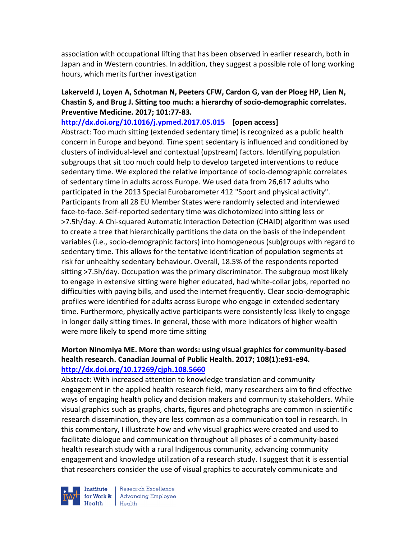association with occupational lifting that has been observed in earlier research, both in Japan and in Western countries. In addition, they suggest a possible role of long working hours, which merits further investigation

### **Lakerveld J, Loyen A, Schotman N, Peeters CFW, Cardon G, van der Ploeg HP, Lien N, Chastin S, and Brug J. Sitting too much: a hierarchy of socio-demographic correlates. Preventive Medicine. 2017; 101:77-83.**

**http://dx.doi.org/10.1016/j.ypmed.2017.05.015 [open access]** Abstract: Too much sitting (extended sedentary time) is recognized as a public health concern in Europe and beyond. Time spent sedentary is influenced and conditioned by clusters of individual-level and contextual (upstream) factors. Identifying population subgroups that sit too much could help to develop targeted interventions to reduce sedentary time. We explored the relative importance of socio-demographic correlates of sedentary time in adults across Europe. We used data from 26,617 adults who participated in the 2013 Special Eurobarometer 412 "Sport and physical activity". Participants from all 28 EU Member States were randomly selected and interviewed face-to-face. Self-reported sedentary time was dichotomized into sitting less or >7.5h/day. A Chi-squared Automatic Interaction Detection (CHAID) algorithm was used to create a tree that hierarchically partitions the data on the basis of the independent variables (i.e., socio-demographic factors) into homogeneous (sub)groups with regard to sedentary time. This allows for the tentative identification of population segments at risk for unhealthy sedentary behaviour. Overall, 18.5% of the respondents reported sitting >7.5h/day. Occupation was the primary discriminator. The subgroup most likely to engage in extensive sitting were higher educated, had white-collar jobs, reported no difficulties with paying bills, and used the internet frequently. Clear socio-demographic profiles were identified for adults across Europe who engage in extended sedentary time. Furthermore, physically active participants were consistently less likely to engage in longer daily sitting times. In general, those with more indicators of higher wealth were more likely to spend more time sitting

#### **Morton Ninomiya ME. More than words: using visual graphics for community-based health research. Canadian Journal of Public Health. 2017; 108(1):e91-e94. http://dx.doi.org/10.17269/cjph.108.5660**

Abstract: With increased attention to knowledge translation and community engagement in the applied health research field, many researchers aim to find effective ways of engaging health policy and decision makers and community stakeholders. While visual graphics such as graphs, charts, figures and photographs are common in scientific research dissemination, they are less common as a communication tool in research. In this commentary, I illustrate how and why visual graphics were created and used to facilitate dialogue and communication throughout all phases of a community-based health research study with a rural Indigenous community, advancing community engagement and knowledge utilization of a research study. I suggest that it is essential that researchers consider the use of visual graphics to accurately communicate and

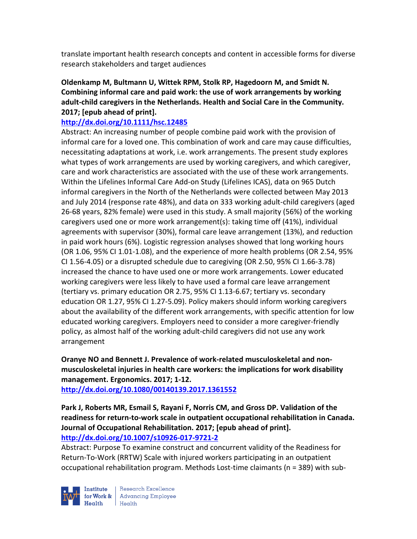translate important health research concepts and content in accessible forms for diverse research stakeholders and target audiences

## **Oldenkamp M, Bultmann U, Wittek RPM, Stolk RP, Hagedoorn M, and Smidt N. Combining informal care and paid work: the use of work arrangements by working adult-child caregivers in the Netherlands. Health and Social Care in the Community. 2017; [epub ahead of print].**

# **http://dx.doi.org/10.1111/hsc.12485**

Abstract: An increasing number of people combine paid work with the provision of informal care for a loved one. This combination of work and care may cause difficulties, necessitating adaptations at work, i.e. work arrangements. The present study explores what types of work arrangements are used by working caregivers, and which caregiver, care and work characteristics are associated with the use of these work arrangements. Within the Lifelines Informal Care Add-on Study (Lifelines ICAS), data on 965 Dutch informal caregivers in the North of the Netherlands were collected between May 2013 and July 2014 (response rate 48%), and data on 333 working adult-child caregivers (aged 26-68 years, 82% female) were used in this study. A small majority (56%) of the working caregivers used one or more work arrangement(s): taking time off (41%), individual agreements with supervisor (30%), formal care leave arrangement (13%), and reduction in paid work hours (6%). Logistic regression analyses showed that long working hours (OR 1.06, 95% CI 1.01-1.08), and the experience of more health problems (OR 2.54, 95% CI 1.56-4.05) or a disrupted schedule due to caregiving (OR 2.50, 95% CI 1.66-3.78) increased the chance to have used one or more work arrangements. Lower educated working caregivers were less likely to have used a formal care leave arrangement (tertiary vs. primary education OR 2.75, 95% CI 1.13-6.67; tertiary vs. secondary education OR 1.27, 95% CI 1.27-5.09). Policy makers should inform working caregivers about the availability of the different work arrangements, with specific attention for low educated working caregivers. Employers need to consider a more caregiver-friendly policy, as almost half of the working adult-child caregivers did not use any work arrangement

**Oranye NO and Bennett J. Prevalence of work-related musculoskeletal and nonmusculoskeletal injuries in health care workers: the implications for work disability management. Ergonomics. 2017; 1-12.** 

**http://dx.doi.org/10.1080/00140139.2017.1361552** 

### **Park J, Roberts MR, Esmail S, Rayani F, Norris CM, and Gross DP. Validation of the readiness for return-to-work scale in outpatient occupational rehabilitation in Canada. Journal of Occupational Rehabilitation. 2017; [epub ahead of print]. http://dx.doi.org/10.1007/s10926-017-9721-2**

Abstract: Purpose To examine construct and concurrent validity of the Readiness for Return-To-Work (RRTW) Scale with injured workers participating in an outpatient occupational rehabilitation program. Methods Lost-time claimants (n = 389) with sub-

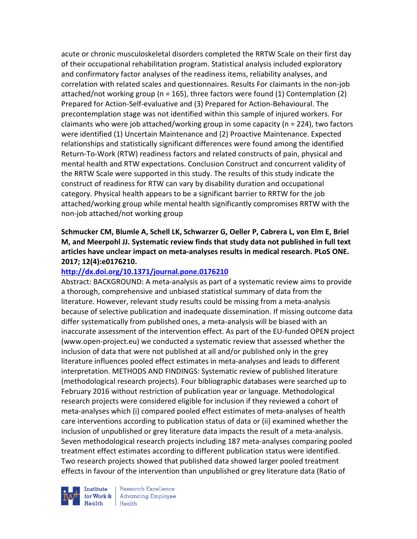acute or chronic musculoskeletal disorders completed the RRTW Scale on their first day of their occupational rehabilitation program. Statistical analysis included exploratory and confirmatory factor analyses of the readiness items, reliability analyses, and correlation with related scales and questionnaires. Results For claimants in the non-job attached/not working group (n = 165), three factors were found (1) Contemplation (2) Prepared for Action-Self-evaluative and (3) Prepared for Action-Behavioural. The precontemplation stage was not identified within this sample of injured workers. For claimants who were job attached/working group in some capacity (n = 224), two factors were identified (1) Uncertain Maintenance and (2) Proactive Maintenance. Expected relationships and statistically significant differences were found among the identified Return-To-Work (RTW) readiness factors and related constructs of pain, physical and mental health and RTW expectations. Conclusion Construct and concurrent validity of the RRTW Scale were supported in this study. The results of this study indicate the construct of readiness for RTW can vary by disability duration and occupational category. Physical health appears to be a significant barrier to RRTW for the job attached/working group while mental health significantly compromises RRTW with the non-job attached/not working group

**Schmucker CM, Blumle A, Schell LK, Schwarzer G, Oeller P, Cabrera L, von Elm E, Briel M, and Meerpohl JJ. Systematic review finds that study data not published in full text articles have unclear impact on meta-analyses results in medical research. PLoS ONE. 2017; 12(4):e0176210.** 

#### **http://dx.doi.org/10.1371/journal.pone.0176210**

Abstract: BACKGROUND: A meta-analysis as part of a systematic review aims to provide a thorough, comprehensive and unbiased statistical summary of data from the literature. However, relevant study results could be missing from a meta-analysis because of selective publication and inadequate dissemination. If missing outcome data differ systematically from published ones, a meta-analysis will be biased with an inaccurate assessment of the intervention effect. As part of the EU-funded OPEN project (www.open-project.eu) we conducted a systematic review that assessed whether the inclusion of data that were not published at all and/or published only in the grey literature influences pooled effect estimates in meta-analyses and leads to different interpretation. METHODS AND FINDINGS: Systematic review of published literature (methodological research projects). Four bibliographic databases were searched up to February 2016 without restriction of publication year or language. Methodological research projects were considered eligible for inclusion if they reviewed a cohort of meta-analyses which (i) compared pooled effect estimates of meta-analyses of health care interventions according to publication status of data or (ii) examined whether the inclusion of unpublished or grey literature data impacts the result of a meta-analysis. Seven methodological research projects including 187 meta-analyses comparing pooled treatment effect estimates according to different publication status were identified. Two research projects showed that published data showed larger pooled treatment effects in favour of the intervention than unpublished or grey literature data (Ratio of

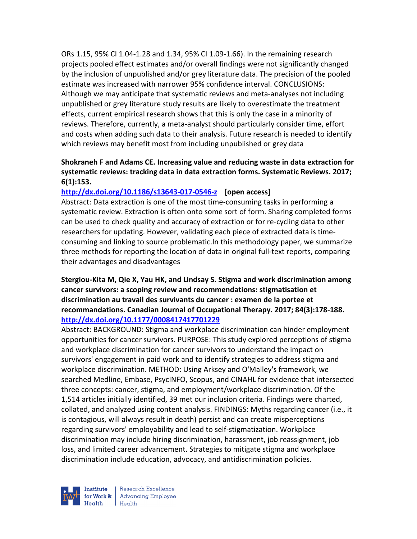ORs 1.15, 95% CI 1.04-1.28 and 1.34, 95% CI 1.09-1.66). In the remaining research projects pooled effect estimates and/or overall findings were not significantly changed by the inclusion of unpublished and/or grey literature data. The precision of the pooled estimate was increased with narrower 95% confidence interval. CONCLUSIONS: Although we may anticipate that systematic reviews and meta-analyses not including unpublished or grey literature study results are likely to overestimate the treatment effects, current empirical research shows that this is only the case in a minority of reviews. Therefore, currently, a meta-analyst should particularly consider time, effort and costs when adding such data to their analysis. Future research is needed to identify which reviews may benefit most from including unpublished or grey data

# **Shokraneh F and Adams CE. Increasing value and reducing waste in data extraction for systematic reviews: tracking data in data extraction forms. Systematic Reviews. 2017; 6(1):153.**

#### **http://dx.doi.org/10.1186/s13643-017-0546-z [open access]**

Abstract: Data extraction is one of the most time-consuming tasks in performing a systematic review. Extraction is often onto some sort of form. Sharing completed forms can be used to check quality and accuracy of extraction or for re-cycling data to other researchers for updating. However, validating each piece of extracted data is timeconsuming and linking to source problematic.In this methodology paper, we summarize three methods for reporting the location of data in original full-text reports, comparing their advantages and disadvantages

#### **Stergiou-Kita M, Qie X, Yau HK, and Lindsay S. Stigma and work discrimination among cancer survivors: a scoping review and recommendations: stigmatisation et discrimination au travail des survivants du cancer : examen de la portee et recommandations. Canadian Journal of Occupational Therapy. 2017; 84(3):178-188. http://dx.doi.org/10.1177/0008417417701229**

Abstract: BACKGROUND: Stigma and workplace discrimination can hinder employment opportunities for cancer survivors. PURPOSE: This study explored perceptions of stigma and workplace discrimination for cancer survivors to understand the impact on survivors' engagement in paid work and to identify strategies to address stigma and workplace discrimination. METHOD: Using Arksey and O'Malley's framework, we searched Medline, Embase, PsycINFO, Scopus, and CINAHL for evidence that intersected three concepts: cancer, stigma, and employment/workplace discrimination. Of the 1,514 articles initially identified, 39 met our inclusion criteria. Findings were charted, collated, and analyzed using content analysis. FINDINGS: Myths regarding cancer (i.e., it is contagious, will always result in death) persist and can create misperceptions regarding survivors' employability and lead to self-stigmatization. Workplace discrimination may include hiring discrimination, harassment, job reassignment, job loss, and limited career advancement. Strategies to mitigate stigma and workplace discrimination include education, advocacy, and antidiscrimination policies.



Research Excellence for Work & Advancing Employee Health